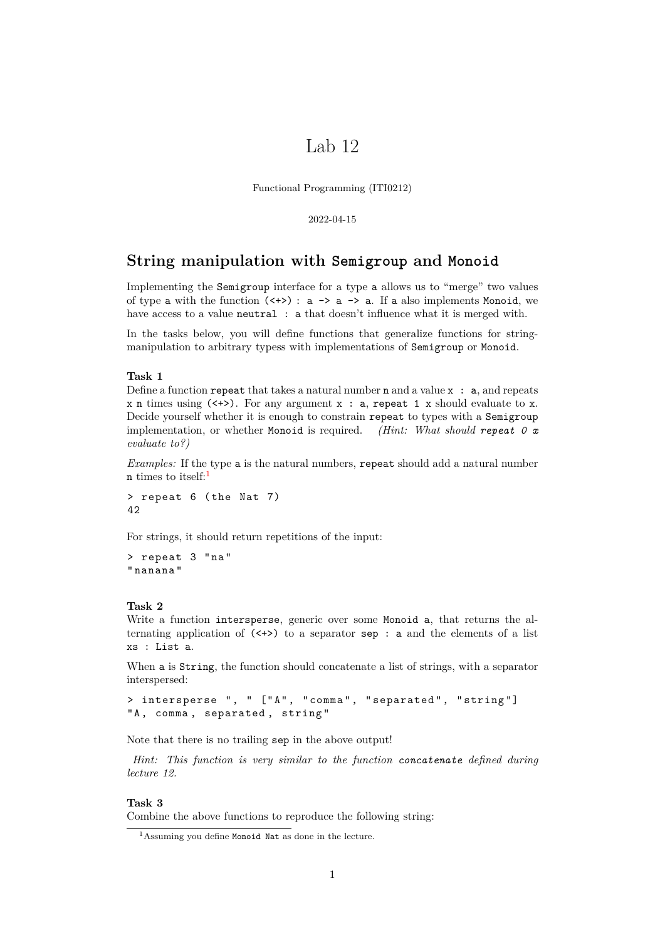# Lab 12

Functional Programming (ITI0212)

2022-04-15

## **String manipulation with Semigroup and Monoid**

Implementing the Semigroup interface for a type a allows us to "merge" two values of type a with the function  $(\langle + \rangle)$ : a  $\rightarrow$  a  $\rightarrow$  a. If a also implements Monoid, we have access to a value neutral : a that doesn't influence what it is merged with.

In the tasks below, you will define functions that generalize functions for stringmanipulation to arbitrary typess with implementations of Semigroup or Monoid.

### **Task 1**

Define a function repeat that takes a natural number  $n$  and a value  $x : a$ , and repeats  $x$  n times using  $\langle \langle + \rangle$ . For any argument  $x : a$ , repeat 1 x should evaluate to x. Decide yourself whether it is enough to constrain repeat to types with a Semigroup implementation, or whether Monoid is required. *(Hint: What should repeat 0 x evaluate to?)*

*Examples:* If the type a is the natural numbers, repeat should add a natural number  $n$  times to itself:<sup>[1](#page-0-0)</sup>

> repeat 6 ( the Nat 7) 42

For strings, it should return repetitions of the input:

```
> repeat 3 " na "
" nanana "
```
### **Task 2**

Write a function intersperse, generic over some Monoid a, that returns the alternating application of  $(\langle + \rangle)$  to a separator sep : a and the elements of a list xs : List a.

When a is String, the function should concatenate a list of strings, with a separator interspersed:

> intersperse ", " ["A", "comma", "separated", "string"] "A, comma, separated, string"

Note that there is no trailing sep in the above output!

*Hint: This function is very similar to the function concatenate defined during lecture 12.*

### **Task 3**

Combine the above functions to reproduce the following string:

<span id="page-0-0"></span> $<sup>1</sup>$ Assuming you define Monoid Nat as done in the lecture.</sup>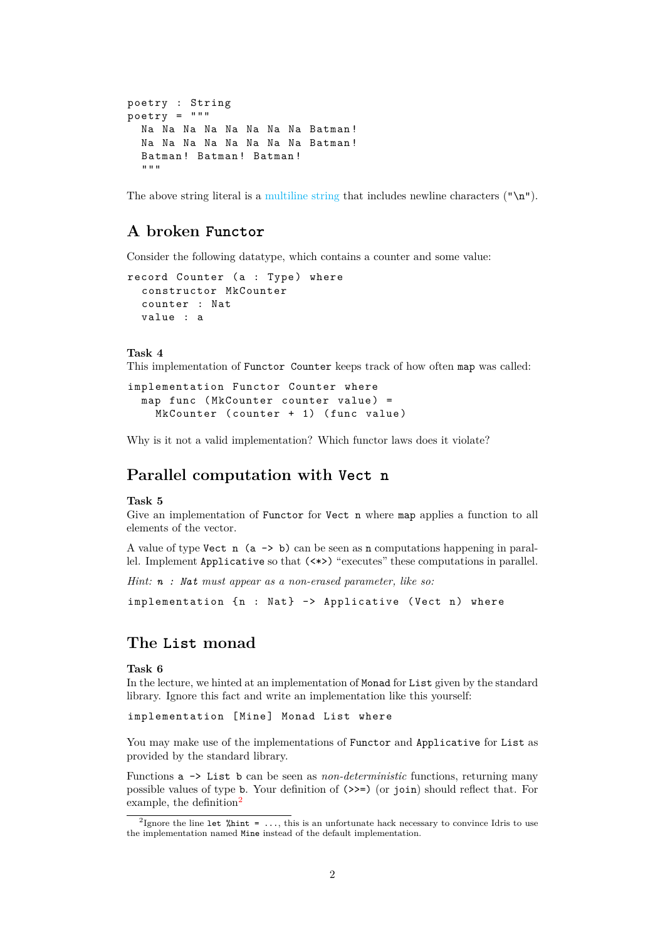```
poetry : String
poetry = """
  Na Na Na Na Na Na Na Na Batman !
  Na Na Na Na Na Na Na Na Batman !
  Batman ! Batman ! Batman !
  """
```
The above string literal is a [multiline string](https://idris2.readthedocs.io/en/latest/reference/strings.html#multiline-string-literals) that includes newline characters  $(\cdot \n \cdot \mathbf{n})$ .

# **A broken Functor**

Consider the following datatype, which contains a counter and some value:

```
record Counter (a : Type) where
  constructor MkCounter
  counter : Nat
  value : a
```
#### **Task 4**

This implementation of Functor Counter keeps track of how often map was called:

```
implementation Functor Counter where
 map func (MkCounter counter value) =
    MkCounter (counter + 1) (func value)
```
Why is it not a valid implementation? Which functor laws does it violate?

## **Parallel computation with Vect n**

#### **Task 5**

Give an implementation of Functor for Vect n where map applies a function to all elements of the vector.

A value of type Vect  $n$  (a  $\rightarrow$  b) can be seen as n computations happening in parallel. Implement Applicative so that (<\*>) "executes" these computations in parallel.

*Hint: n : Nat must appear as a non-erased parameter, like so:*

implementation {n : Nat} -> Applicative (Vect n) where

# **The List monad**

### **Task 6**

In the lecture, we hinted at an implementation of Monad for List given by the standard library. Ignore this fact and write an implementation like this yourself:

implementation [Mine] Monad List where

You may make use of the implementations of Functor and Applicative for List as provided by the standard library.

Functions a -> List b can be seen as *non-deterministic* functions, returning many possible values of type b. Your definition of (>>=) (or join) should reflect that. For example, the definition $2$ 

<span id="page-1-0"></span><sup>&</sup>lt;sup>2</sup>Ignore the line let  $\lambda$ hint = ..., this is an unfortunate hack necessary to convince Idris to use the implementation named Mine instead of the default implementation.